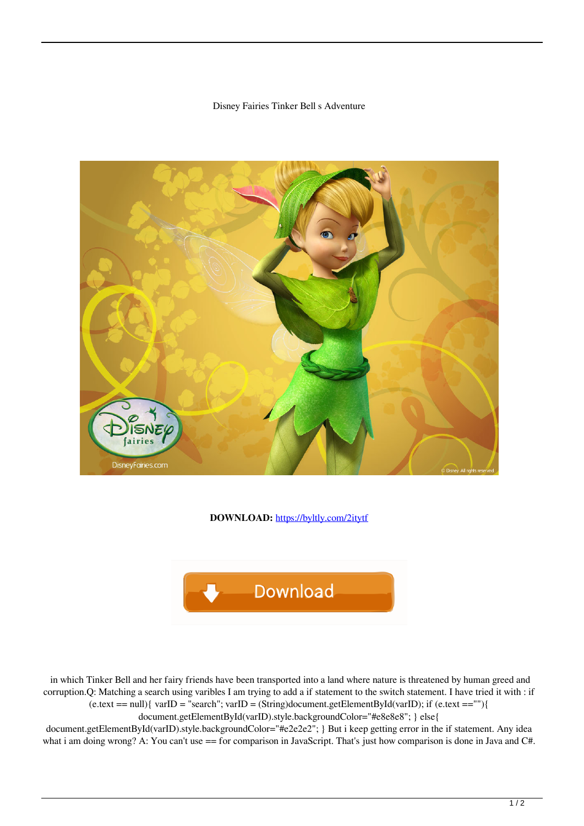## Disney Fairies Tinker Bell s Adventure



**DOWNLOAD:** <https://byltly.com/2itytf>



 in which Tinker Bell and her fairy friends have been transported into a land where nature is threatened by human greed and corruption.Q: Matching a search using varibles I am trying to add a if statement to the switch statement. I have tried it with : if  $(e.text == null)$ { varID = "search"; varID = (String)document.getElementById(varID); if  $(e.text == "')$ } document.getElementById(varID).style.backgroundColor="#e8e8e8"; } else{

document.getElementById(varID).style.backgroundColor="#e2e2e2"; } But i keep getting error in the if statement. Any idea what i am doing wrong? A: You can't use == for comparison in JavaScript. That's just how comparison is done in Java and C#.